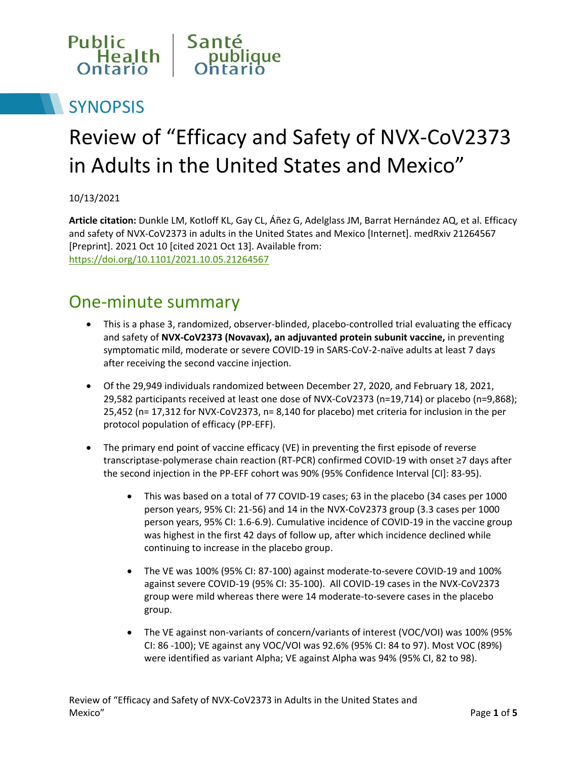

# **SYNOPSIS**

# Review of "Efficacy and Safety of NVX-CoV2373 in Adults in the United States and Mexico"

10/13/2021

**Article citation:** Dunkle LM, Kotloff KL, Gay CL, Áñez G, Adelglass JM, Barrat Hernández AQ, et al. Efficacy and safety of NVX-CoV2373 in adults in the United States and Mexico [Internet]. medRxiv 21264567 [Preprint]. 2021 Oct 10 [cited 2021 Oct 13]. Available from: <https://doi.org/10.1101/2021.10.05.21264567>

#### One-minute summary

- This is a phase 3, randomized, observer-blinded, placebo-controlled trial evaluating the efficacy and safety of **NVX-CoV2373 (Novavax), an adjuvanted protein subunit vaccine,** in preventing symptomatic mild, moderate or severe COVID-19 in SARS-CoV-2-naïve adults at least 7 days after receiving the second vaccine injection.
- Of the 29,949 individuals randomized between December 27, 2020, and February 18, 2021, 29,582 participants received at least one dose of NVX-CoV2373 (n=19,714) or placebo (n=9,868); 25,452 (n= 17,312 for NVX-CoV2373, n= 8,140 for placebo) met criteria for inclusion in the per protocol population of efficacy (PP-EFF).
- The primary end point of vaccine efficacy (VE) in preventing the first episode of reverse transcriptase-polymerase chain reaction (RT-PCR) confirmed COVID-19 with onset ≥7 days after the second injection in the PP-EFF cohort was 90% (95% Confidence Interval [CI]: 83-95).
	- This was based on a total of 77 COVID-19 cases; 63 in the placebo (34 cases per 1000 person years, 95% CI: 21-56) and 14 in the NVX-CoV2373 group (3.3 cases per 1000 person years, 95% CI: 1.6-6.9). Cumulative incidence of COVID-19 in the vaccine group was highest in the first 42 days of follow up, after which incidence declined while continuing to increase in the placebo group.
	- The VE was 100% (95% CI: 87-100) against moderate-to-severe COVID-19 and 100% against severe COVID-19 (95% CI: 35-100). All COVID-19 cases in the NVX-CoV2373 group were mild whereas there were 14 moderate-to-severe cases in the placebo group.
	- The VE against non-variants of concern/variants of interest (VOC/VOI) was 100% (95% CI: 86 -100); VE against any VOC/VOI was 92.6% (95% CI: 84 to 97). Most VOC (89%) were identified as variant Alpha; VE against Alpha was 94% (95% CI, 82 to 98).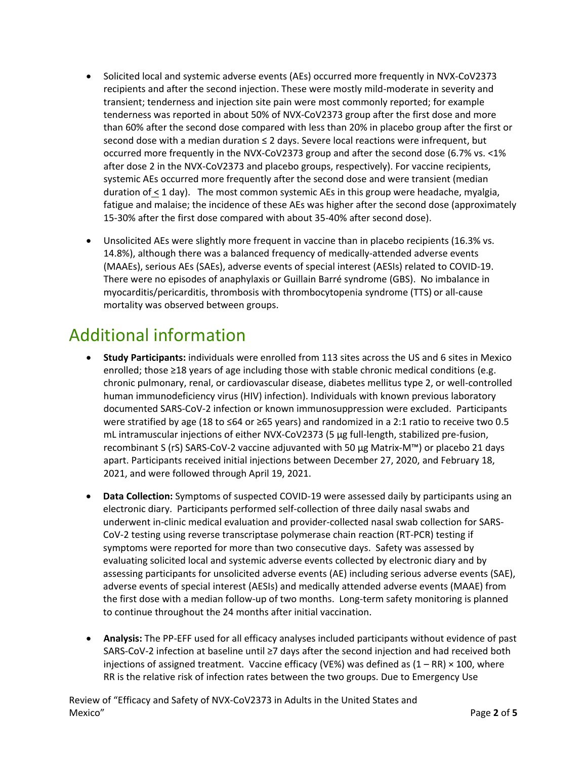- Solicited local and systemic adverse events (AEs) occurred more frequently in NVX-CoV2373 recipients and after the second injection. These were mostly mild-moderate in severity and transient; tenderness and injection site pain were most commonly reported; for example tenderness was reported in about 50% of NVX-CoV2373 group after the first dose and more than 60% after the second dose compared with less than 20% in placebo group after the first or second dose with a median duration ≤ 2 days. Severe local reactions were infrequent, but occurred more frequently in the NVX-CoV2373 group and after the second dose (6.7% vs. <1% after dose 2 in the NVX-CoV2373 and placebo groups, respectively). For vaccine recipients, systemic AEs occurred more frequently after the second dose and were transient (median duration of < 1 day). The most common systemic AEs in this group were headache, myalgia, fatigue and malaise; the incidence of these AEs was higher after the second dose (approximately 15-30% after the first dose compared with about 35-40% after second dose).
- Unsolicited AEs were slightly more frequent in vaccine than in placebo recipients (16.3% vs. 14.8%), although there was a balanced frequency of medically-attended adverse events (MAAEs), serious AEs (SAEs), adverse events of special interest (AESIs) related to COVID-19. There were no episodes of anaphylaxis or Guillain Barré syndrome (GBS). No imbalance in myocarditis/pericarditis, thrombosis with thrombocytopenia syndrome (TTS) or all-cause mortality was observed between groups.

#### Additional information

- **Study Participants:** individuals were enrolled from 113 sites across the US and 6 sites in Mexico enrolled; those ≥18 years of age including those with stable chronic medical conditions (e.g. chronic pulmonary, renal, or cardiovascular disease, diabetes mellitus type 2, or well-controlled human immunodeficiency virus (HIV) infection). Individuals with known previous laboratory documented SARS-CoV-2 infection or known immunosuppression were excluded. Participants were stratified by age (18 to ≤64 or ≥65 years) and randomized in a 2:1 ratio to receive two 0.5 mL intramuscular injections of either NVX-CoV2373 (5 μg full-length, stabilized pre-fusion, recombinant S (rS) SARS-CoV-2 vaccine adjuvanted with 50 μg Matrix-M™) or placebo 21 days apart. Participants received initial injections between December 27, 2020, and February 18, 2021, and were followed through April 19, 2021.
- **Data Collection:** Symptoms of suspected COVID-19 were assessed daily by participants using an electronic diary. Participants performed self-collection of three daily nasal swabs and underwent in-clinic medical evaluation and provider-collected nasal swab collection for SARS-CoV-2 testing using reverse transcriptase polymerase chain reaction (RT-PCR) testing if symptoms were reported for more than two consecutive days. Safety was assessed by evaluating solicited local and systemic adverse events collected by electronic diary and by assessing participants for unsolicited adverse events (AE) including serious adverse events (SAE), adverse events of special interest (AESIs) and medically attended adverse events (MAAE) from the first dose with a median follow-up of two months. Long-term safety monitoring is planned to continue throughout the 24 months after initial vaccination.
- **Analysis:** The PP-EFF used for all efficacy analyses included participants without evidence of past SARS-CoV-2 infection at baseline until ≥7 days after the second injection and had received both injections of assigned treatment. Vaccine efficacy (VE%) was defined as  $(1 - RR) \times 100$ , where RR is the relative risk of infection rates between the two groups. Due to Emergency Use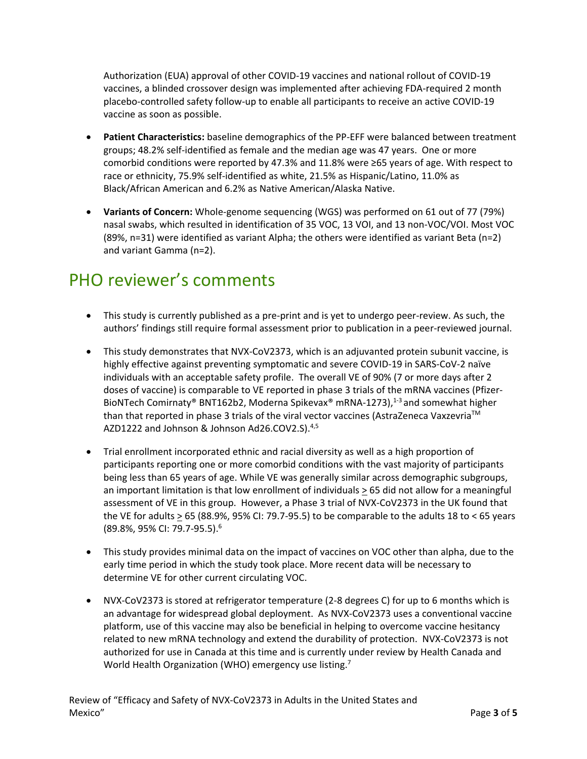Authorization (EUA) approval of other COVID-19 vaccines and national rollout of COVID-19 vaccines, a blinded crossover design was implemented after achieving FDA-required 2 month placebo-controlled safety follow-up to enable all participants to receive an active COVID-19 vaccine as soon as possible.

- **Patient Characteristics:** baseline demographics of the PP-EFF were balanced between treatment groups; 48.2% self-identified as female and the median age was 47 years. One or more comorbid conditions were reported by 47.3% and 11.8% were ≥65 years of age. With respect to race or ethnicity, 75.9% self-identified as white, 21.5% as Hispanic/Latino, 11.0% as Black/African American and 6.2% as Native American/Alaska Native.
- **Variants of Concern:** Whole-genome sequencing (WGS) was performed on 61 out of 77 (79%) nasal swabs, which resulted in identification of 35 VOC, 13 VOI, and 13 non-VOC/VOI. Most VOC (89%, n=31) were identified as variant Alpha; the others were identified as variant Beta (n=2) and variant Gamma (n=2).

## PHO reviewer's comments

- This study is currently published as a pre-print and is yet to undergo peer-review. As such, the authors' findings still require formal assessment prior to publication in a peer-reviewed journal.
- This study demonstrates that NVX-CoV2373, which is an adjuvanted protein subunit vaccine, is highly effective against preventing symptomatic and severe COVID-19 in SARS-CoV-2 naïve individuals with an acceptable safety profile. The overall VE of 90% (7 or more days after 2 doses of vaccine) is comparable to VE reported in phase 3 trials of the mRNA vaccines (Pfizer-BioNTech Comirnaty® BNT162b2, Moderna Spikevax® mRNA-1273),<sup>1-3</sup> and somewhat higher than that reported in phase 3 trials of the viral vector vaccines (AstraZeneca Vaxzevria<sup>™</sup> AZD1222 and Johnson & Johnson Ad26.COV2.S).<sup>4,5</sup>
- Trial enrollment incorporated ethnic and racial diversity as well as a high proportion of participants reporting one or more comorbid conditions with the vast majority of participants being less than 65 years of age. While VE was generally similar across demographic subgroups, an important limitation is that low enrollment of individuals  $\geq 65$  did not allow for a meaningful assessment of VE in this group. However, a Phase 3 trial of NVX-CoV2373 in the UK found that the VE for adults  $\geq$  65 (88.9%, 95% CI: 79.7-95.5) to be comparable to the adults 18 to < 65 years (89.8%, 95% CI: 79.7-95.5). 6
- This study provides minimal data on the impact of vaccines on VOC other than alpha, due to the early time period in which the study took place. More recent data will be necessary to determine VE for other current circulating VOC.
- NVX-CoV2373 is stored at refrigerator temperature (2-8 degrees C) for up to 6 months which is an advantage for widespread global deployment. As NVX-CoV2373 uses a conventional vaccine platform, use of this vaccine may also be beneficial in helping to overcome vaccine hesitancy related to new mRNA technology and extend the durability of protection. NVX-CoV2373 is not authorized for use in Canada at this time and is currently under review by Health Canada and World Health Organization (WHO) emergency use listing.<sup>7</sup>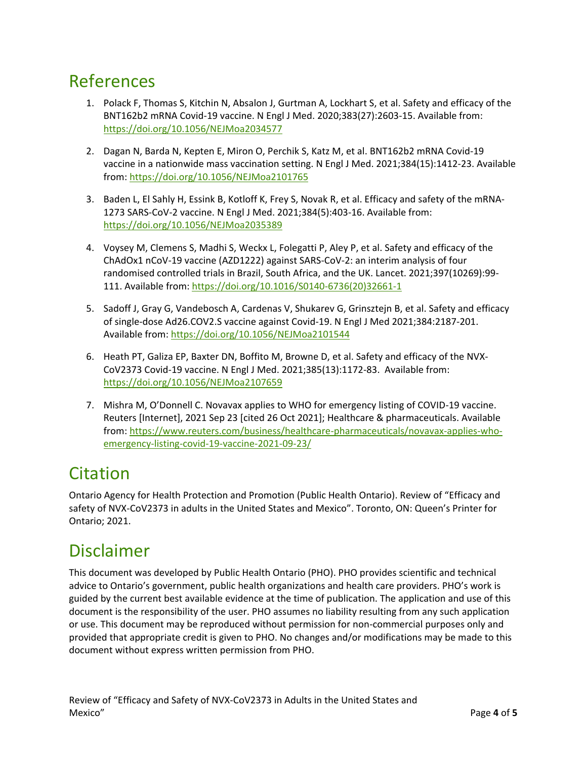#### References

- 1. Polack F, Thomas S, Kitchin N, Absalon J, Gurtman A, Lockhart S, et al. Safety and efficacy of the BNT162b2 mRNA Covid-19 vaccine. N Engl J Med. 2020;383(27):2603-15. Available from: <https://doi.org/10.1056/NEJMoa2034577>
- 2. Dagan N, Barda N, Kepten E, Miron O, Perchik S, Katz M, et al. BNT162b2 mRNA Covid-19 vaccine in a nationwide mass vaccination setting. N Engl J Med. 2021;384(15):1412-23. Available from:<https://doi.org/10.1056/NEJMoa2101765>
- 3. Baden L, El Sahly H, Essink B, Kotloff K, Frey S, Novak R, et al. Efficacy and safety of the mRNA-1273 SARS-CoV-2 vaccine. N Engl J Med. 2021;384(5):403-16. Available from: <https://doi.org/10.1056/NEJMoa2035389>
- 4. Voysey M, Clemens S, Madhi S, Weckx L, Folegatti P, Aley P, et al. Safety and efficacy of the ChAdOx1 nCoV-19 vaccine (AZD1222) against SARS-CoV-2: an interim analysis of four randomised controlled trials in Brazil, South Africa, and the UK. Lancet. 2021;397(10269):99- 111. Available from: [https://doi.org/10.1016/S0140-6736\(20\)32661-1](https://doi.org/10.1016/S0140-6736(20)32661-1)
- 5. Sadoff J, Gray G, Vandebosch A, Cardenas V, Shukarev G, Grinsztejn B, et al. Safety and efficacy of single-dose Ad26.COV2.S vaccine against Covid-19. N Engl J Med 2021;384:2187-201. Available from:<https://doi.org/10.1056/NEJMoa2101544>
- 6. Heath PT, Galiza EP, Baxter DN, Boffito M, Browne D, et al. Safety and efficacy of the NVX-CoV2373 Covid-19 vaccine. N Engl J Med. 2021;385(13):1172-83. Available from: <https://doi.org/10.1056/NEJMoa2107659>
- 7. Mishra M, O'Donnell C. Novavax applies to WHO for emergency listing of COVID-19 vaccine. Reuters [Internet], 2021 Sep 23 [cited 26 Oct 2021]; Healthcare & pharmaceuticals. Available from: [https://www.reuters.com/business/healthcare-pharmaceuticals/novavax-applies-who](https://www.reuters.com/business/healthcare-pharmaceuticals/novavax-applies-who-emergency-listing-covid-19-vaccine-2021-09-23/)[emergency-listing-covid-19-vaccine-2021-09-23/](https://www.reuters.com/business/healthcare-pharmaceuticals/novavax-applies-who-emergency-listing-covid-19-vaccine-2021-09-23/)

## **Citation**

Ontario Agency for Health Protection and Promotion (Public Health Ontario). Review of "Efficacy and safety of NVX-CoV2373 in adults in the United States and Mexico". Toronto, ON: Queen's Printer for Ontario; 2021.

### Disclaimer

This document was developed by Public Health Ontario (PHO). PHO provides scientific and technical advice to Ontario's government, public health organizations and health care providers. PHO's work is guided by the current best available evidence at the time of publication. The application and use of this document is the responsibility of the user. PHO assumes no liability resulting from any such application or use. This document may be reproduced without permission for non-commercial purposes only and provided that appropriate credit is given to PHO. No changes and/or modifications may be made to this document without express written permission from PHO.